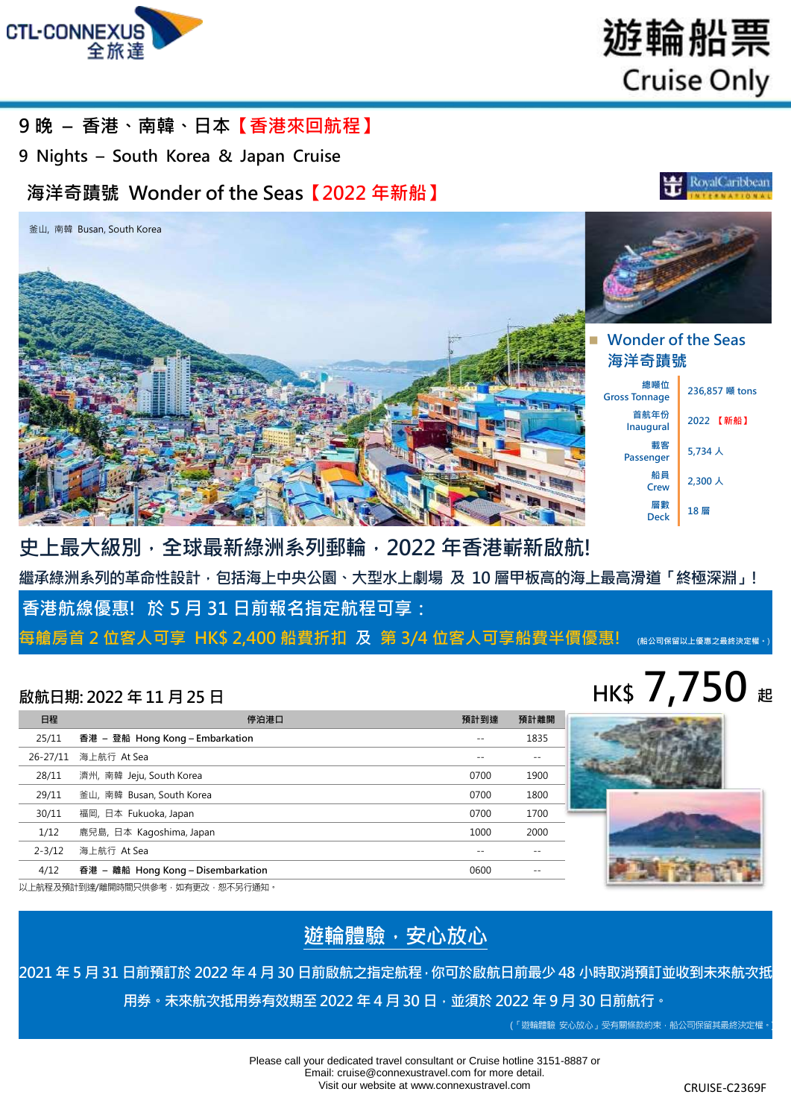



**RovalCaribbean** 

### **9 晚 – 香港、南韓、日本【香港來回航程】**

**9 Nights – South Korea & Japan Cruise**

## **海洋奇蹟號 Wonder of the Seas【2022 年新船】**



## **Wonder of the Seas 海洋奇蹟號**

**總噸位 Gross Tonnage 236,857 <sup>噸</sup> tons 首航年份 Inaugural <sup>2022</sup>【新船】 載客 Passenger** 5,734 人 **船員 Crew** 2,300 人 **層數 Deck <sup>18</sup> <sup>層</sup>**

**史上最大級別,全球最新綠洲系列郵輪,2022 年香港嶄新啟航! 繼承綠洲系列的革命性設計,包括海上中央公園、大型水上劇場 及 10 層甲板高的海上最高滑道「終極深淵」! 香港航線優惠! 於 5 月 31 日前報名指定航程可享: 每艙房首 2 位客人可享 HK\$ 2,400 船費折扣 及 第 3/4 位客人可享船費半價優惠! (船公司保留以上優惠之最終決定權。**)

## $\overline{a}$  **All EXEC 2022** 年 11 月 25 日 **120 日 120 日 120 日 120 日 120 日 120 日 120 日 120 日 120 日 120 日 120 日 120 日 120 日 120 日 120 日 120 日 120 日 120 日 120 日 120 日 120 日 120 日 120 日 120 日 120 日 120 日 120 日 120 日 120 日 120 日 120**

### **日程 停泊港口 預計到達 預計離開** 25/11 **香港 – 登船 Hong Kong – Embarkation** -- 1835 26-27/11 海上航行 At Sea -- -- 28/11 濟州, 南韓 Jeju, South Korea 0700 1900 1900 1900 1900 1900 1900 29/11 釜山, 南韓 Busan, South Korea 0700 1800 30/11 福岡, 日本 Fukuoka, Japan 0700 1700 1/12 鹿兒島, 日本 Kagoshima, Japan 1000 2000 2-3/12 海上航行 At Sea -- -- 4/12 **昋港 – 離船 Hong Kong – Disembarkation** 0600 --

以上航程及預計到達/離開時間只供參考,如有更改,恕不另行通知。

## **遊輪體驗,安心放心**

**2021 年 5 月 31 日前預訂於 2022 年 4 月 30 日前啟航之指定航程,你可於啟航日前最少 48 小時取消預訂並收到未來航次抵 用券。未來航次抵用券有效期至 2022 年 4 月 30 日,並須於 2022 年 9 月 30 日前航行。**

(「遊輪體驗 安心放心」受有關條款約束,船公司保留其最終決定權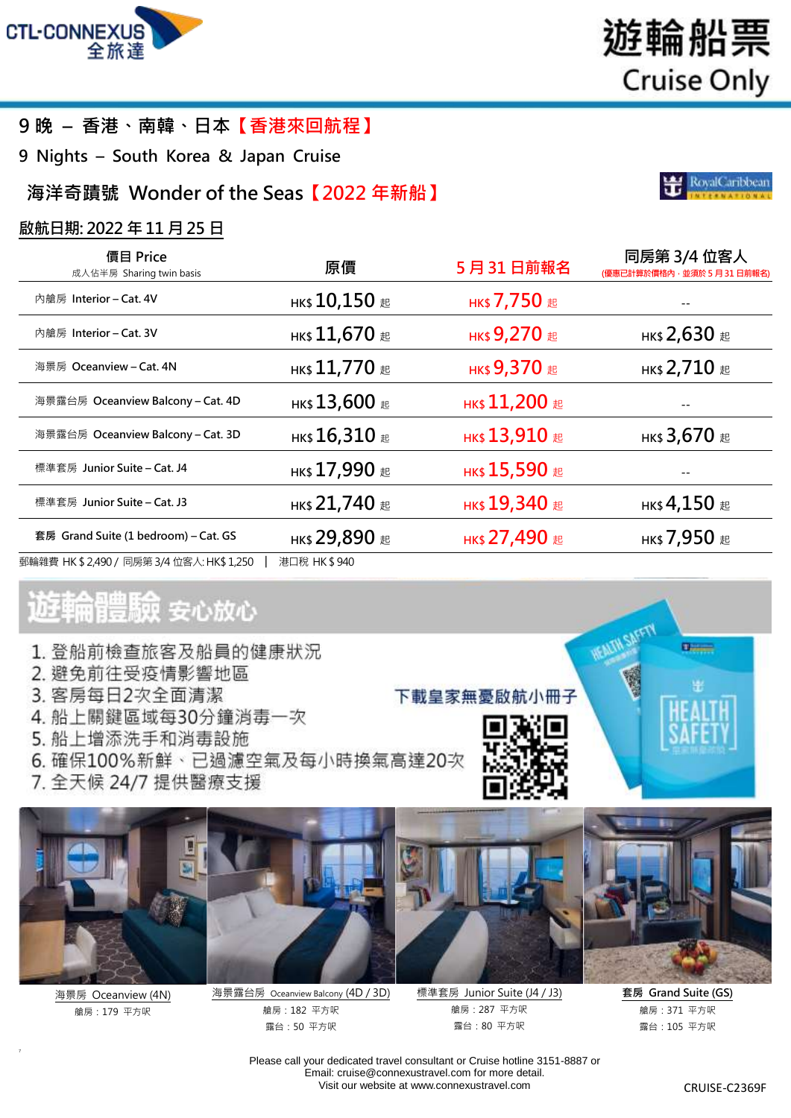

## **9 晚 – 香港、南韓、日本【香港來回航程】**

**9 Nights – South Korea & Japan Cruise**

## **海洋奇蹟號 Wonder of the Seas【2022 年新船】**

### **啟航日期: 2022 年 11 月 25 日**

| 價目 Price<br>成人佔半房 Sharing twin basis       | 原價                                 | 5月31日前報名                               | 同房第 3/4 位客人<br>(優惠已計算於價格內,並須於 5 月 31 日前報名)    |
|--------------------------------------------|------------------------------------|----------------------------------------|-----------------------------------------------|
| 內艙房 Interior - Cat. 4V                     | нк\$ $10,150$ #                    | нк\$ 7,750 起                           |                                               |
| 內艙房 Interior – Cat. 3V                     | нк\$ $11,670$ #                    | нк\$ 9,270 #                           | нк\$ 2,630 #                                  |
| 海景房 Oceanview – Cat. 4N                    | нк\$ $11,770$ $\scriptstyle\rm \&$ | нк\$ 9,370 起                           | нк\$ 2,710 $#$                                |
| 海景露台房 Oceanview Balcony – Cat. 4D          | нк $$13,600$ #                     | нк\$ 11,200 $E$                        |                                               |
| 海景露台房 Oceanview Balcony – Cat. 3D          | нк $$16,310$ #                     | нк\$ $13,910$ $\scriptstyle\rm \#$     | нк\$ 3,670 #                                  |
| 標準套房 Junior Suite – Cat. J4                | нк\$ 17,990 #                      | нк\$ $15,590$ $\scriptstyle\rm \equiv$ |                                               |
| 標準套房 Junior Suite – Cat. J3                | нк\$ 21,740 $E$                    | нк\$ 19,340 $E$                        | нк\$ 4,150 $\text{\tiny \textup{\texttt{E}}}$ |
| 套房 Grand Suite (1 bedroom) – Cat. GS       | нк\$ 29,890 #                      | <b>нк\$ 27,490 起</b>                   | нк\$ 7,950 #                                  |
| 郵輪雜費 HK \$ 2,490 / 同房第 3/4 位客人: HK\$ 1,250 | 港口稅 HK\$940                        |                                        |                                               |

# 遊輪體驗 安心放心

- 1. 登船前檢查旅客及船員的健康狀況
- 2. 避免前往受疫情影響地區
- 3. 客房每日2次全面清潔
- 4. 船上關鍵區域每30分鐘消毒一次
- 5. 船上增添洗手和消毒設施
- 6. 確保100%新鮮、已過濾空氣及每小時換氣高達20次
- 7. 全天候 24/7 提供醫療支援



海景房 Oceanview (4N) 艙房:179 平方呎

7



海景露台房 Oceanview Balcony (4D / 3D) 艙房:182 平方呎 露台:50 平方呎

標準套房 Junior Suite (J4 / J3) 艙房:287 平方呎 露台:80 平方呎

下載皇家無憂啟航小冊子

**套房 Grand Suite (GS)**

**Children** 

艙房:371 平方呎 露台:105 平方呎

Please call your dedicated travel consultant or Cruise hotline 3151-8887 or Email: [cruise@connexustravel.com](mailto:cruise@connexustravel.com) for more detail. Visit our website at [www.connexustravel.com](http://www.connexustravel.com/) CRUISE-C2369F